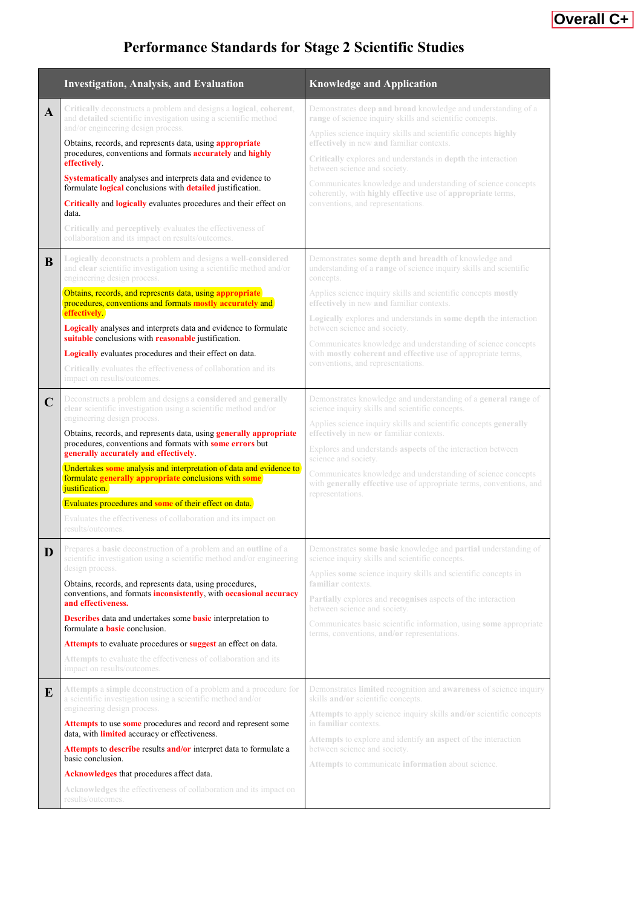# **Overall C+**

# **Performance Standards for Stage 2 Scientific Studies**

|             | <b>Investigation, Analysis, and Evaluation</b>                                                                                                                                                                                                                                                                                                                                                                                                                                                                                                                                                                                                                   | <b>Knowledge and Application</b>                                                                                                                                                                                                                                                                                                                                                                                                                                                                                              |
|-------------|------------------------------------------------------------------------------------------------------------------------------------------------------------------------------------------------------------------------------------------------------------------------------------------------------------------------------------------------------------------------------------------------------------------------------------------------------------------------------------------------------------------------------------------------------------------------------------------------------------------------------------------------------------------|-------------------------------------------------------------------------------------------------------------------------------------------------------------------------------------------------------------------------------------------------------------------------------------------------------------------------------------------------------------------------------------------------------------------------------------------------------------------------------------------------------------------------------|
| A           | Critically deconstructs a problem and designs a logical, coherent,<br>and detailed scientific investigation using a scientific method<br>and/or engineering design process.<br>Obtains, records, and represents data, using appropriate<br>procedures, conventions and formats <b>accurately</b> and <b>highly</b><br>effectively.<br>Systematically analyses and interprets data and evidence to<br>formulate logical conclusions with detailed justification.<br>Critically and logically evaluates procedures and their effect on<br>data.<br>Critically and perceptively evaluates the effectiveness of<br>collaboration and its impact on results/outcomes. | Demonstrates deep and broad knowledge and understanding of a<br>range of science inquiry skills and scientific concepts.<br>Applies science inquiry skills and scientific concepts highly<br>effectively in new and familiar contexts.<br>Critically explores and understands in depth the interaction<br>between science and society.<br>Communicates knowledge and understanding of science concepts<br>coherently, with highly effective use of appropriate terms,<br>conventions, and representations.                    |
| B           | Logically deconstructs a problem and designs a well-considered<br>and clear scientific investigation using a scientific method and/or<br>engineering design process.<br>Obtains, records, and represents data, using appropriate<br>procedures, conventions and formats mostly accurately and<br>effectively<br>Logically analyses and interprets data and evidence to formulate<br>suitable conclusions with reasonable justification.<br>Logically evaluates procedures and their effect on data.<br>Critically evaluates the effectiveness of collaboration and its<br>impact on results/outcomes.                                                            | Demonstrates some depth and breadth of knowledge and<br>understanding of a range of science inquiry skills and scientific<br>concepts.<br>Applies science inquiry skills and scientific concepts mostly<br>effectively in new and familiar contexts.<br>Logically explores and understands in some depth the interaction<br>between science and society.<br>Communicates knowledge and understanding of science concepts<br>with mostly coherent and effective use of appropriate terms,<br>conventions, and representations. |
| $\mathbf C$ | Deconstructs a problem and designs a considered and generally<br>clear scientific investigation using a scientific method and/or<br>engineering design process.<br>Obtains, records, and represents data, using generally appropriate<br>procedures, conventions and formats with some errors but<br>generally accurately and effectively.<br>Undertakes some analysis and interpretation of data and evidence to<br>formulate generally appropriate conclusions with some<br>justification.<br>Evaluates procedures and some of their effect on data.<br>Evaluates the effectiveness of collaboration and its impact on<br>results/outcomes.                    | Demonstrates knowledge and understanding of a general range of<br>science inquiry skills and scientific concepts.<br>Applies science inquiry skills and scientific concepts generally<br>effectively in new or familiar contexts.<br>Explores and understands aspects of the interaction between<br>science and society.<br>Communicates knowledge and understanding of science concepts<br>with generally effective use of appropriate terms, conventions, and<br>representations.                                           |
| D           | Prepares a basic deconstruction of a problem and an outline of a<br>scientific investigation using a scientific method and/or engineering<br>design process.<br>Obtains, records, and represents data, using procedures,<br>conventions, and formats inconsistently, with occasional accuracy<br>and effectiveness.<br><b>Describes</b> data and undertakes some <b>basic</b> interpretation to<br>formulate a <b>basic</b> conclusion.<br>Attempts to evaluate procedures or suggest an effect on data.<br><b>Attempts</b> to evaluate the effectiveness of collaboration and its<br>impact on results/outcomes.                                                | Demonstrates some basic knowledge and partial understanding of<br>science inquiry skills and scientific concepts.<br>Applies some science inquiry skills and scientific concepts in<br>familiar contexts.<br><b>Partially</b> explores and <b>recognises</b> aspects of the interaction<br>between science and society.<br>Communicates basic scientific information, using some appropriate<br>terms, conventions, and/or representations.                                                                                   |
| E           | Attempts a simple deconstruction of a problem and a procedure for<br>a scientific investigation using a scientific method and/or<br>engineering design process.<br>Attempts to use some procedures and record and represent some<br>data, with <b>limited</b> accuracy or effectiveness.<br>Attempts to describe results and/or interpret data to formulate a<br>basic conclusion.<br>Acknowledges that procedures affect data.<br><b>Acknowledges</b> the effectiveness of collaboration and its impact on<br>results/outcomes.                                                                                                                                 | Demonstrates <b>limited</b> recognition and <b>awareness</b> of science inquiry<br>skills and/or scientific concepts.<br>Attempts to apply science inquiry skills and/or scientific concepts<br>in familiar contexts.<br>Attempts to explore and identify an aspect of the interaction<br>between science and society.<br>Attempts to communicate information about science.                                                                                                                                                  |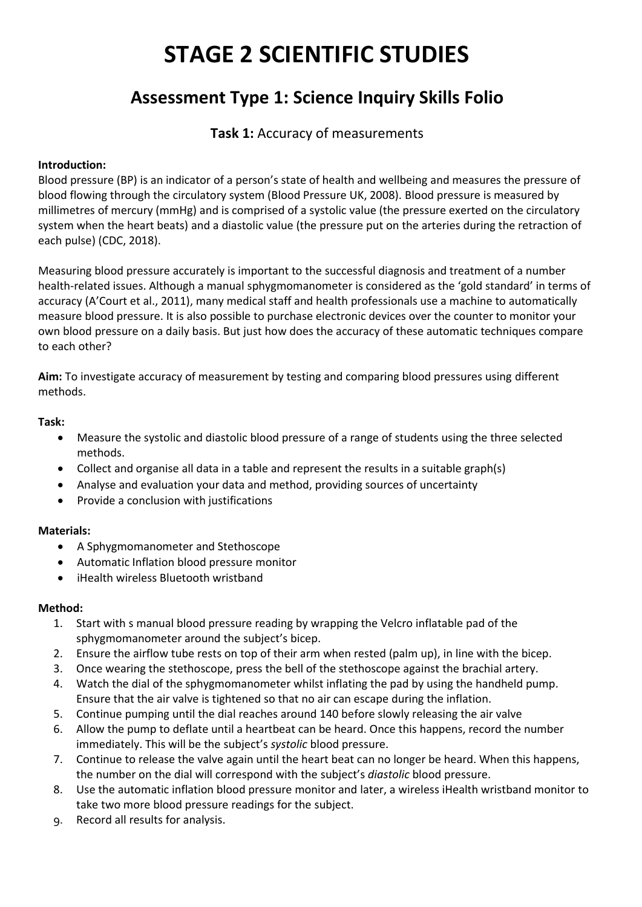# **STAGE 2 SCIENTIFIC STUDIES**

# **Assessment Type 1: Science Inquiry Skills Folio**

## **Task 1:** Accuracy of measurements

## **Introduction:**

Blood pressure (BP) is an indicator of a person's state of health and wellbeing and measures the pressure of blood flowing through the circulatory system (Blood Pressure UK, 2008). Blood pressure is measured by millimetres of mercury (mmHg) and is comprised of a systolic value (the pressure exerted on the circulatory system when the heart beats) and a diastolic value (the pressure put on the arteries during the retraction of each pulse) (CDC, 2018).

Measuring blood pressure accurately is important to the successful diagnosis and treatment of a number health-related issues. Although a manual sphygmomanometer is considered as the 'gold standard' in terms of accuracy (A'Court et al., 2011), many medical staff and health professionals use a machine to automatically measure blood pressure. It is also possible to purchase electronic devices over the counter to monitor your own blood pressure on a daily basis. But just how does the accuracy of these automatic techniques compare to each other?

**Aim:** To investigate accuracy of measurement by testing and comparing blood pressures using different methods.

## **Task:**

- Measure the systolic and diastolic blood pressure of a range of students using the three selected methods.
- Collect and organise all data in a table and represent the results in a suitable graph(s)
- Analyse and evaluation your data and method, providing sources of uncertainty
- Provide a conclusion with justifications

## **Materials:**

- A Sphygmomanometer and Stethoscope
- Automatic Inflation blood pressure monitor
- iHealth wireless Bluetooth wristband

## **Method:**

- 1. Start with s manual blood pressure reading by wrapping the Velcro inflatable pad of the sphygmomanometer around the subject's bicep.
- 2. Ensure the airflow tube rests on top of their arm when rested (palm up), in line with the bicep.
- 3. Once wearing the stethoscope, press the bell of the stethoscope against the brachial artery.
- 4. Watch the dial of the sphygmomanometer whilst inflating the pad by using the handheld pump. Ensure that the air valve is tightened so that no air can escape during the inflation.
- 5. Continue pumping until the dial reaches around 140 before slowly releasing the air valve
- 6. Allow the pump to deflate until a heartbeat can be heard. Once this happens, record the number immediately. This will be the subject's *systolic* blood pressure.
- 7. Continue to release the valve again until the heart beat can no longer be heard. When this happens, the number on the dial will correspond with the subject's *diastolic* blood pressure.
- 8. Use the automatic inflation blood pressure monitor and later, a wireless iHealth wristband monitor to take two more blood pressure readings for the subject.
- 9. Record all results for analysis.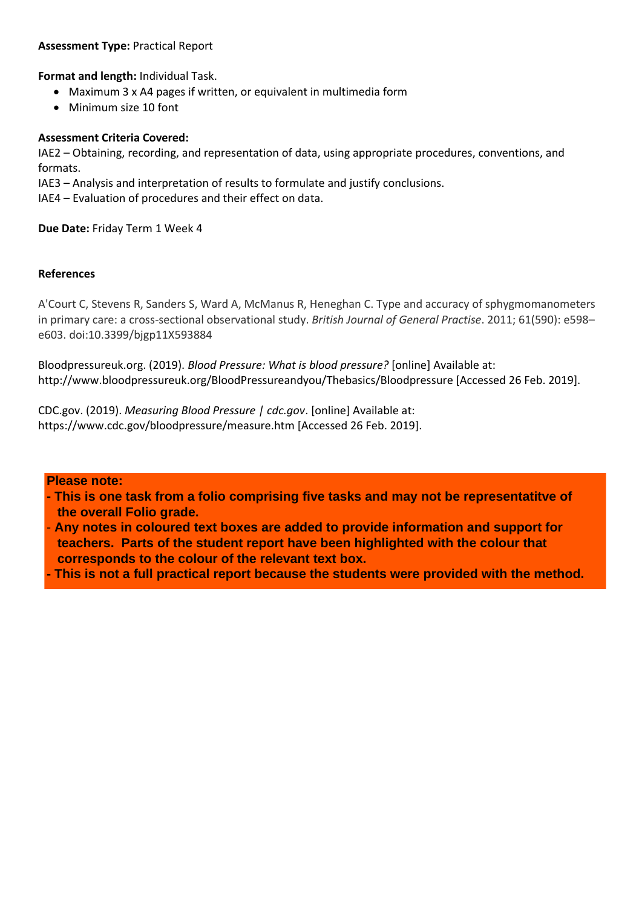## **Assessment Type:** Practical Report

**Format and length:** Individual Task.

- Maximum 3 x A4 pages if written, or equivalent in multimedia form
- Minimum size 10 font

## **Assessment Criteria Covered:**

IAE2 – Obtaining, recording, and representation of data, using appropriate procedures, conventions, and formats.

IAE3 – Analysis and interpretation of results to formulate and justify conclusions.

IAE4 – Evaluation of procedures and their effect on data.

**Due Date:** Friday Term 1 Week 4

## **References**

A'Court C, Stevens R, Sanders S, Ward A, McManus R, Heneghan C. Type and accuracy of sphygmomanometers in primary care: a cross-sectional observational study. *British Journal of General Practise*. 2011; 61(590): e598– e603. doi:10.3399/bjgp11X593884

Bloodpressureuk.org. (2019). *Blood Pressure: What is blood pressure?* [online] Available at: http://www.bloodpressureuk.org/BloodPressureandyou/Thebasics/Bloodpressure [Accessed 26 Feb. 2019].

CDC.gov. (2019). *Measuring Blood Pressure | cdc.gov*. [online] Available at: https://www.cdc.gov/bloodpressure/measure.htm [Accessed 26 Feb. 2019].

## **Please note:**

- **This is one task from a folio comprising five tasks and may not be representatitve of the overall Folio grade.**
- **Any notes in coloured text boxes are added to provide information and support for teachers. Parts of the student report have been highlighted with the colour that corresponds to the colour of the relevant text box.**
- **This is not a full practical report because the students were provided with the method.**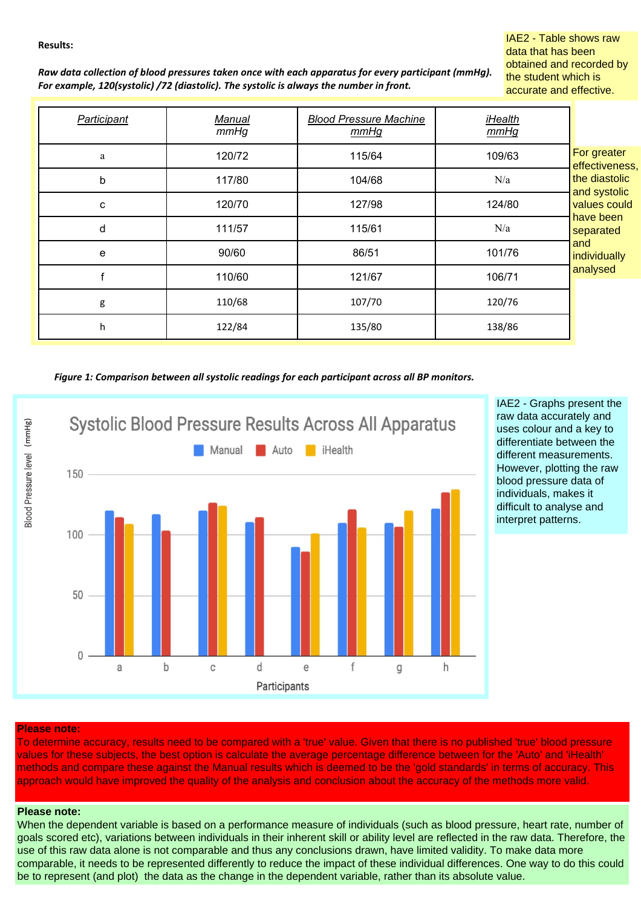#### **Results:**

IAE2 - Table shows raw data that has been obtained and recorded by the student which is accurate and effective.

| Raw data collection of blood pressures taken once with each apparatus for every participant (mmHq). |
|-----------------------------------------------------------------------------------------------------|
| For example, 120(systolic) /72 (diastolic). The systolic is always the number in front.             |

| Participant | Manual<br>mmHg | <b>Blood Pressure Machine</b><br>mmHg | iHealth<br>mmHg |                                                                                                                                             |
|-------------|----------------|---------------------------------------|-----------------|---------------------------------------------------------------------------------------------------------------------------------------------|
| a           | 120/72         | 115/64                                | 109/63          | For greater<br>effectiveness,<br>the diastolic<br>and systolic<br>values could<br>have been<br>separated<br>and<br>individually<br>analysed |
| b           | 117/80         | 104/68                                | N/a             |                                                                                                                                             |
| С           | 120/70         | 127/98                                | 124/80          |                                                                                                                                             |
| d           | 111/57         | 115/61                                | N/a             |                                                                                                                                             |
| e           | 90/60          | 86/51                                 | 101/76          |                                                                                                                                             |
|             | 110/60         | 121/67                                | 106/71          |                                                                                                                                             |
| g           | 110/68         | 107/70                                | 120/76          |                                                                                                                                             |
| h           | 122/84         | 135/80                                | 138/86          |                                                                                                                                             |

*Figure 1: Comparison between all systolic readings for each participant across all BP monitors.*



IAE2 - Graphs present the raw data accurately and uses colour and a key to differentiate between the different measurements. However, plotting the raw blood pressure data of individuals, makes it difficult to analyse and interpret patterns.

#### **Please note:**

To determine accuracy, results need to be compared with a 'true' value. Given that there is no published 'true' blood pressure values for these subjects, the best option is calculate the average percentage difference between for the 'Auto' and 'iHealth' methods and compare these against the Manual results which is deemed to be the 'gold standards' in terms of accuracy. This approach would have improved the quality of the analysis and conclusion about the accuracy of the methods more valid.

#### **Please note:**

When the dependent variable is based on a performance measure of individuals (such as blood pressure, heart rate, number of goals scored etc), variations between individuals in their inherent skill or ability level are reflected in the raw data. Therefore, the use of this raw data alone is not comparable and thus any conclusions drawn, have limited validity. To make data more comparable, it needs to be represented differently to reduce the impact of these individual differences. One way to do this could be to represent (and plot) the data as the change in the dependent variable, rather than its absolute value.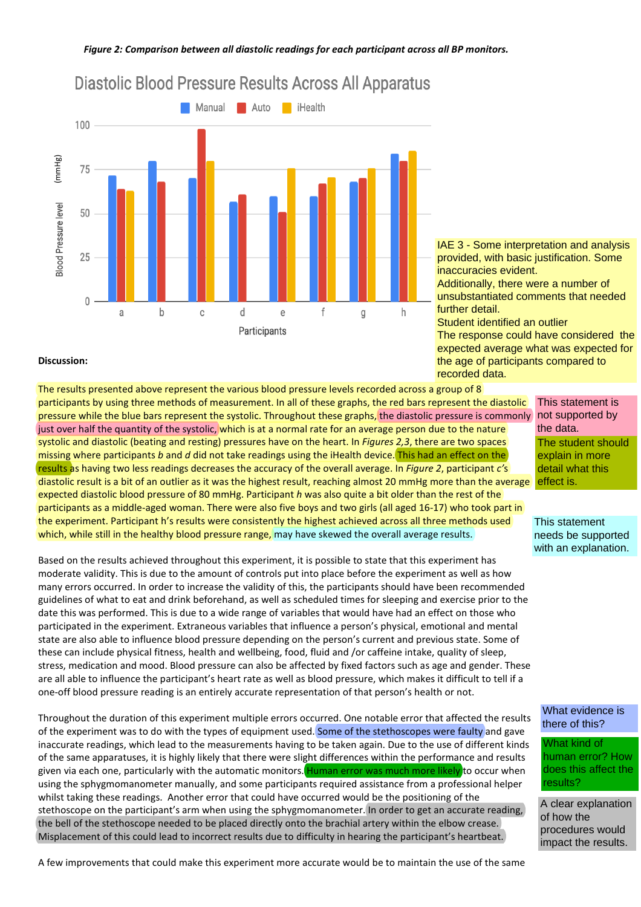

# Diastolic Blood Pressure Results Across All Apparatus

IAE 3 - Some interpretation and analysis provided, with basic justification. Some inaccuracies evident. Additionally, there were a number of unsubstantiated comments that needed further detail.

Student identified an outlier The response could have considered the expected average what was expected for the age of participants compared to recorded data.

#### **Discussion:**

The results presented above represent the various blood pressure levels recorded across a group of 8 participants by using three methods of measurement. In all of these graphs, the red bars represent the diastolic pressure while the blue bars represent the systolic. Throughout these graphs, the diastolic pressure is commonly just over half the quantity of the systolic, which is at a normal rate for an average person due to the nature systolic and diastolic (beating and resting) pressures have on the heart. In *Figures 2,3*, there are two spaces missing where participants *b* and *d* did not take readings using the iHealth device. This had an effect on the results as having two less readings decreases the accuracy of the overall average. In *Figure 2*, participant *c'*s diastolic result is a bit of an outlier as it was the highest result, reaching almost 20 mmHg more than the average expected diastolic blood pressure of 80 mmHg. Participant *h* was also quite a bit older than the rest of the participants as a middle-aged woman. There were also five boys and two girls (all aged 16-17) who took part in the experiment. Participant h's results were consistently the highest achieved across all three methods used which, while still in the healthy blood pressure range, may have skewed the overall average results.

Based on the results achieved throughout this experiment, it is possible to state that this experiment has moderate validity. This is due to the amount of controls put into place before the experiment as well as how many errors occurred. In order to increase the validity of this, the participants should have been recommended guidelines of what to eat and drink beforehand, as well as scheduled times for sleeping and exercise prior to the date this was performed. This is due to a wide range of variables that would have had an effect on those who participated in the experiment. Extraneous variables that influence a person's physical, emotional and mental state are also able to influence blood pressure depending on the person's current and previous state. Some of these can include physical fitness, health and wellbeing, food, fluid and /or caffeine intake, quality of sleep, stress, medication and mood. Blood pressure can also be affected by fixed factors such as age and gender. These are all able to influence the participant's heart rate as well as blood pressure, which makes it difficult to tell if a one-off blood pressure reading is an entirely accurate representation of that person's health or not.

Throughout the duration of this experiment multiple errors occurred. One notable error that affected the results of the experiment was to do with the types of equipment used. Some of the stethoscopes were faulty and gave inaccurate readings, which lead to the measurements having to be taken again. Due to the use of different kinds of the same apparatuses, it is highly likely that there were slight differences within the performance and results given via each one, particularly with the automatic monitors. Human error was much more likely to occur when using the sphygmomanometer manually, and some participants required assistance from a professional helper whilst taking these readings. Another error that could have occurred would be the positioning of the stethoscope on the participant's arm when using the sphygmomanometer. In order to get an accurate reading, the bell of the stethoscope needed to be placed directly onto the brachial artery within the elbow crease. Misplacement of this could lead to incorrect results due to difficulty in hearing the participant's heartbeat.

This statement is not supported by the data. The student should explain in more detail what this effect is.

This statement needs be supported with an explanation.

What evidence is there of this?

What kind of human error? How does this affect the results?

A clear explanation of how the procedures would impact the results.

A few improvements that could make this experiment more accurate would be to maintain the use of the same